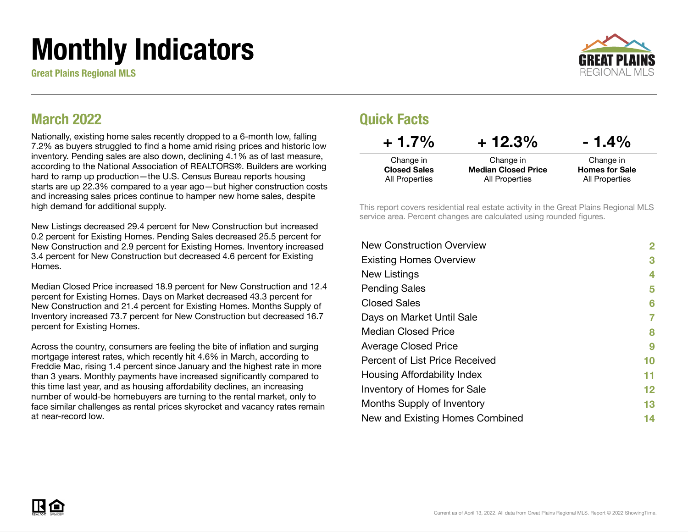# Monthly Indicators

Great Plains Regional MLS



#### March 2022

Nationally, existing home sales recently dropped to a 6-month low, falling 7.2% as buyers struggled to find a home amid rising prices and historic low inventory. Pending sales are also down, declining 4.1% as of last measure, according to the National Association of REALTORS®. Builders are working hard to ramp up production—the U.S. Census Bureau reports housing starts are up 22.3% compared to a year ago—but higher construction costs and increasing sales prices continue to hamper new home sales, despite high demand for additional supply.

New Listings decreased 29.4 percent for New Construction but increased 0.2 percent for Existing Homes. Pending Sales decreased 25.5 percent for New Construction and 2.9 percent for Existing Homes. Inventory increased 3.4 percent for New Construction but decreased 4.6 percent for Existing Homes.

Median Closed Price increased 18.9 percent for New Construction and 12.4 percent for Existing Homes. Days on Market decreased 43.3 percent for New Construction and 21.4 percent for Existing Homes. Months Supply of Inventory increased 73.7 percent for New Construction but decreased 16.7 percent for Existing Homes.

Across the country, consumers are feeling the bite of inflation and surging mortgage interest rates, which recently hit 4.6% in March, according to Freddie Mac, rising 1.4 percent since January and the highest rate in more than 3 years. Monthly payments have increased significantly compared to this time last year, and as housing affordability declines, an increasing number of would-be homebuyers are turning to the rental market, only to face similar challenges as rental prices skyrocket and vacancy rates remain at near-record low.

#### Quick Facts

| $+1.7\%$            | $+12.3%$                   | $-1.4\%$              |
|---------------------|----------------------------|-----------------------|
| Change in           | Change in                  | Change in             |
| <b>Closed Sales</b> | <b>Median Closed Price</b> | <b>Homes for Sale</b> |
| All Properties      | All Properties             | All Properties        |

This report covers residential real estate activity in the Great Plains Regional MLS service area. Percent changes are calculated using rounded figures.

| <b>New Construction Overview</b> | $\overline{2}$ |
|----------------------------------|----------------|
| <b>Existing Homes Overview</b>   | 3              |
| New Listings                     | 4              |
| <b>Pending Sales</b>             | 5              |
| <b>Closed Sales</b>              | 6              |
| Days on Market Until Sale        | 7              |
| Median Closed Price              | 8              |
| <b>Average Closed Price</b>      | 9              |
| Percent of List Price Received   | 10             |
| Housing Affordability Index      | 11             |
| Inventory of Homes for Sale      | 12             |
| Months Supply of Inventory       | 13             |
| New and Existing Homes Combined  | 14             |

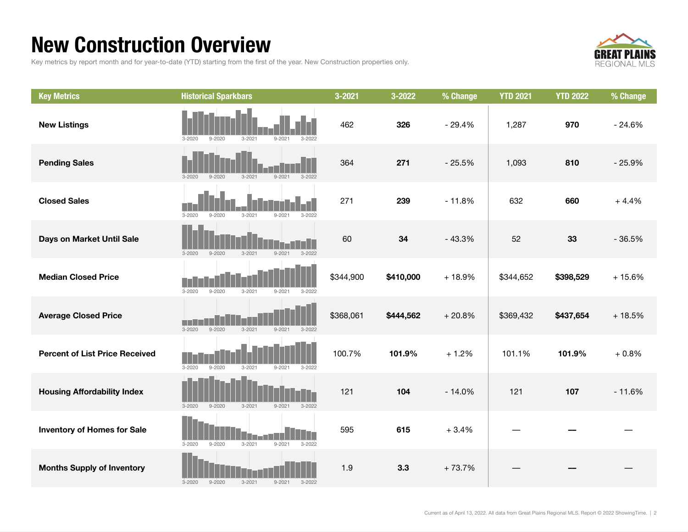### New Construction Overview

Key metrics by report month and for year-to-date (YTD) starting from the first of the year. New Construction properties only.



| <b>Key Metrics</b>                    | <b>Historical Sparkbars</b>                                        | 3-2021    | 3-2022    | % Change | <b>YTD 2021</b> | <b>YTD 2022</b> | % Change |
|---------------------------------------|--------------------------------------------------------------------|-----------|-----------|----------|-----------------|-----------------|----------|
| <b>New Listings</b>                   | $3 - 2021$<br>$9 - 2021$<br>$3 - 2020$<br>$9 - 2020$<br>$3 - 2022$ | 462       | 326       | $-29.4%$ | 1,287           | 970             | $-24.6%$ |
| <b>Pending Sales</b>                  | $9 - 2020$<br>$3 - 2021$<br>$9 - 2021$<br>$3 - 2022$<br>$3 - 2020$ | 364       | 271       | $-25.5%$ | 1,093           | 810             | $-25.9%$ |
| <b>Closed Sales</b>                   | $3 - 2021$<br>$3 - 2020$<br>$9 - 2020$<br>$9 - 2021$<br>$3 - 2022$ | 271       | 239       | $-11.8%$ | 632             | 660             | $+4.4%$  |
| Days on Market Until Sale             | $3 - 2021$<br>$9 - 2021$<br>$3 - 2022$<br>$3 - 2020$<br>$9 - 2020$ | 60        | 34        | $-43.3%$ | 52              | 33              | $-36.5%$ |
| <b>Median Closed Price</b>            | $3 - 2020$<br>$9 - 2020$<br>$3 - 2021$<br>$9 - 2021$<br>$3 - 2022$ | \$344,900 | \$410,000 | $+18.9%$ | \$344,652       | \$398,529       | $+15.6%$ |
| <b>Average Closed Price</b>           | $3 - 2020$<br>$9 - 2020$<br>$3 - 2021$<br>$9 - 2021$<br>$3 - 2022$ | \$368,061 | \$444,562 | $+20.8%$ | \$369,432       | \$437,654       | $+18.5%$ |
| <b>Percent of List Price Received</b> | $3 - 2020$<br>$9 - 2020$<br>$3 - 2021$<br>$9 - 2021$<br>$3 - 2022$ | 100.7%    | 101.9%    | $+1.2%$  | 101.1%          | 101.9%          | $+0.8%$  |
| <b>Housing Affordability Index</b>    | $3 - 2020$<br>$9 - 2020$<br>$3 - 2021$<br>$9 - 2021$<br>$3 - 2022$ | 121       | 104       | $-14.0%$ | 121             | 107             | $-11.6%$ |
| <b>Inventory of Homes for Sale</b>    | $3 - 2020$<br>$9 - 2020$<br>$3 - 2021$<br>$9 - 2021$<br>$3 - 2022$ | 595       | 615       | $+3.4%$  |                 |                 |          |
| <b>Months Supply of Inventory</b>     | $3 - 2020$<br>$9 - 2020$<br>$3 - 2021$<br>$9 - 2021$<br>$3 - 2022$ | 1.9       | 3.3       | $+73.7%$ |                 |                 |          |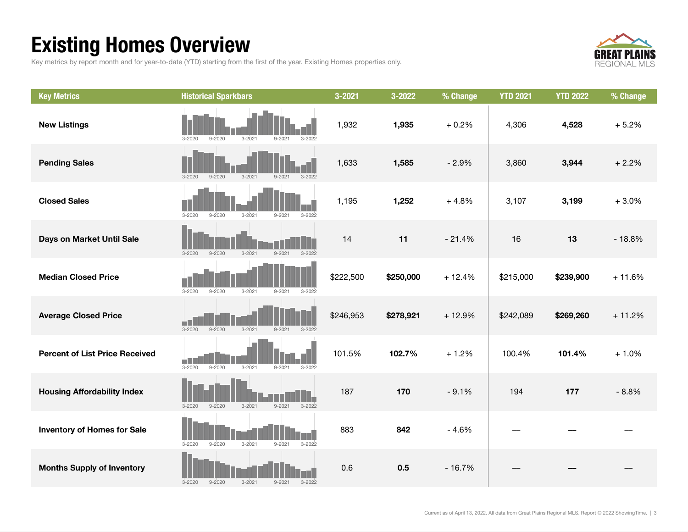## Existing Homes Overview

Key metrics by report month and for year-to-date (YTD) starting from the first of the year. Existing Homes properties only.



| <b>Key Metrics</b>                    | <b>Historical Sparkbars</b>                                        | 3-2021    | 3-2022    | % Change | <b>YTD 2021</b> | <b>YTD 2022</b> | % Change |
|---------------------------------------|--------------------------------------------------------------------|-----------|-----------|----------|-----------------|-----------------|----------|
| <b>New Listings</b>                   | $9 - 2020$<br>$3 - 2021$<br>$3 - 2020$<br>$3 - 2022$<br>$9 - 202$  | 1,932     | 1,935     | $+0.2%$  | 4,306           | 4,528           | $+5.2%$  |
| <b>Pending Sales</b>                  | $3 - 2020$<br>$9 - 2020$<br>$3 - 2021$<br>$9 - 2021$<br>$3 - 2022$ | 1,633     | 1,585     | $-2.9%$  | 3,860           | 3,944           | $+2.2%$  |
| <b>Closed Sales</b>                   | $3 - 2020$<br>$9 - 2020$<br>$3 - 2021$<br>$9 - 2021$<br>$3 - 2022$ | 1,195     | 1,252     | $+4.8%$  | 3,107           | 3,199           | $+3.0%$  |
| Days on Market Until Sale             | $3 - 2021$<br>$9 - 2021$<br>$3 - 2022$<br>$3 - 2020$<br>$9 - 2020$ | 14        | 11        | $-21.4%$ | 16              | 13              | $-18.8%$ |
| <b>Median Closed Price</b>            | $3 - 2020$<br>$9 - 2020$<br>$3 - 2021$<br>$9 - 2021$<br>$3 - 2022$ | \$222,500 | \$250,000 | $+12.4%$ | \$215,000       | \$239,900       | $+11.6%$ |
| <b>Average Closed Price</b>           | $3 - 2020$<br>$9 - 2020$<br>$3 - 2021$<br>$9 - 2021$<br>$3 - 2022$ | \$246,953 | \$278,921 | $+12.9%$ | \$242,089       | \$269,260       | $+11.2%$ |
| <b>Percent of List Price Received</b> | $9 - 2020$<br>$3 - 2020$<br>$3 - 2021$<br>$9 - 2021$<br>$3 - 2022$ | 101.5%    | 102.7%    | $+1.2%$  | 100.4%          | 101.4%          | $+1.0%$  |
| <b>Housing Affordability Index</b>    | $9 - 2020$<br>$3 - 2021$<br>$9 - 2021$<br>$3 - 2022$<br>$3 - 2020$ | 187       | 170       | $-9.1%$  | 194             | 177             | $-8.8%$  |
| <b>Inventory of Homes for Sale</b>    | $3 - 2020$<br>$3 - 2022$<br>$9 - 2020$<br>$3 - 2021$<br>$9 - 2021$ | 883       | 842       | $-4.6%$  |                 |                 |          |
| <b>Months Supply of Inventory</b>     | $9 - 2020$<br>$3 - 2021$<br>$9 - 2021$<br>$3 - 2022$<br>$3 - 2020$ | 0.6       | 0.5       | $-16.7%$ |                 |                 |          |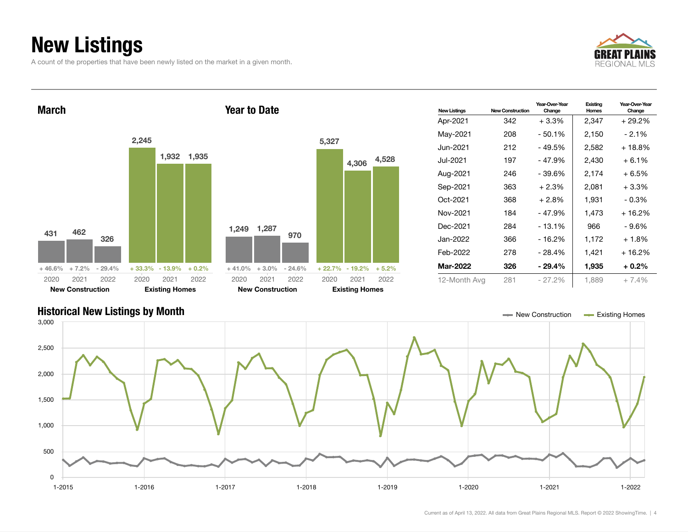## New Listings

A count of the properties that have been newly listed on the market in a given month.





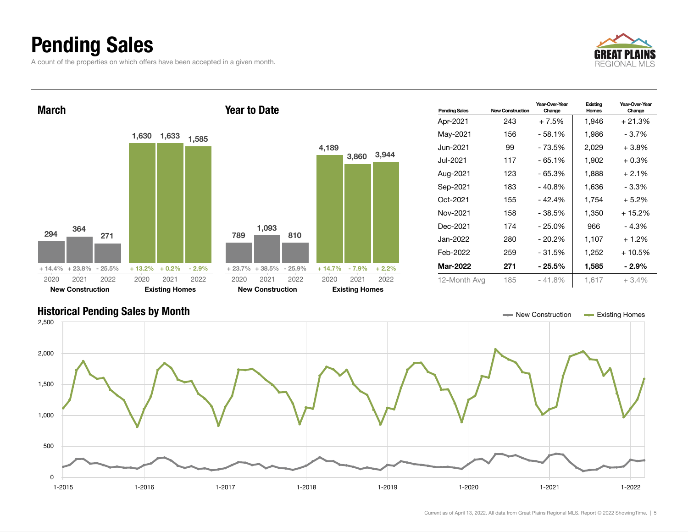### Pending Sales

A count of the properties on which offers have been accepted in a given month.



Year-Over-Year Change



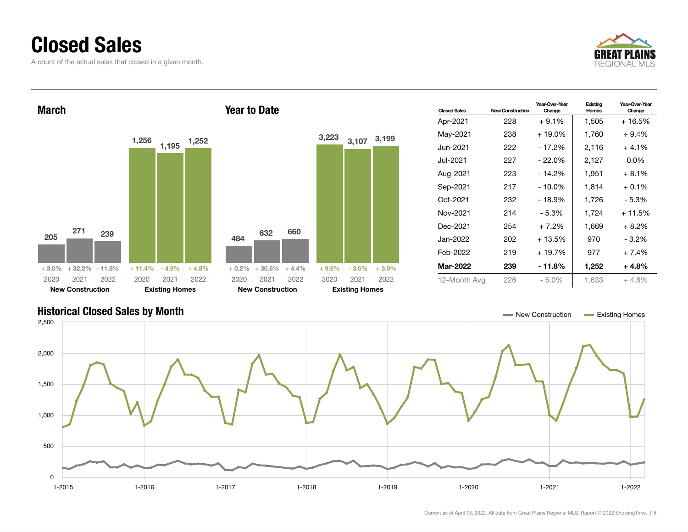#### Closed Sales

A count of the actual sales that closed in a given month.







Current as of April 13, 2022. All data from Great Plains Regional MLS. Report © 2022 ShowingTime. | 6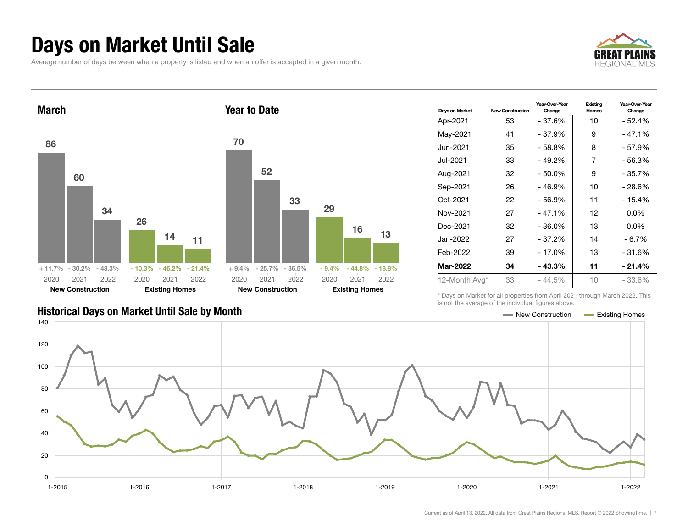#### Days on Market Until Sale

Average number of days between when a property is listed and when an offer is accepted in a given month.







| Days on Market    | <b>New Construction</b> | Year-Over-Year<br>Change | Existing<br>Homes | Year-Over-Year<br>Change |
|-------------------|-------------------------|--------------------------|-------------------|--------------------------|
| Apr-2021          | 53                      | - 37.6%                  | 10                | - 52.4%                  |
| May-2021          | 41                      | - 37.9%                  | 9                 | $-47.1%$                 |
| Jun-2021 <b>.</b> | 35                      | $-58.8%$                 | 8                 | - 57.9%                  |
| Jul-2021          | 33                      | - 49.2%                  | 7                 | - 56.3%                  |
| Aug-2021          | 32                      | $-50.0%$                 | 9                 | $-35.7%$                 |
| Sep-2021          | 26                      | - 46.9%                  | 10                | - 28.6%                  |
| Oct-2021          | 22                      | $-56.9%$                 | 11                | $-15.4%$                 |
| Nov-2021          | 27                      | $-47.1%$                 | 12                | $0.0\%$                  |
| Dec-2021          | 32                      | $-36.0%$                 | 13                | $0.0\%$                  |
| Jan-2022          | 27                      | $-37.2%$                 | 14                | $-6.7%$                  |
| Feb-2022          | 39                      | $-17.0%$                 | 13                | $-31.6%$                 |
| <b>Mar-2022</b>   | 34                      | - 43.3%                  | 11                | - 21.4%                  |
| 12-Month Avg*     | 33                      | $-44.5%$                 | 10                | - 33.6%                  |

\* Days on Market for all properties from April 2021 through March 2022. This is not the average of the individual figures above.



#### Historical Days on Market Until Sale by Month New York New York New York New Construction Access Existing Homes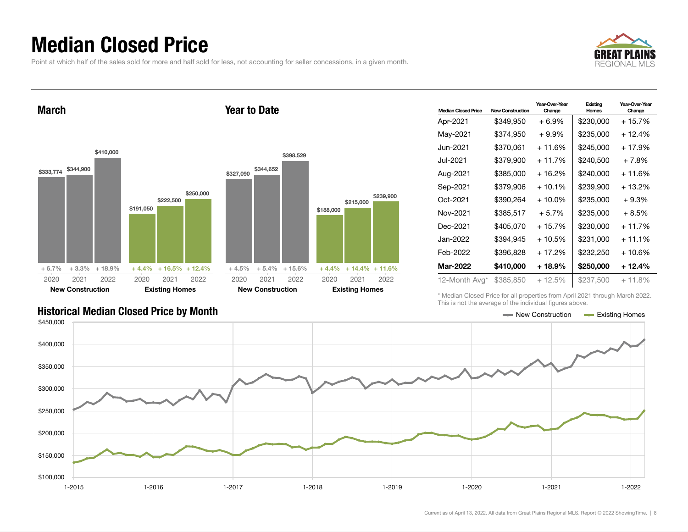### Median Closed Price

Point at which half of the sales sold for more and half sold for less, not accounting for seller concessions, in a given month.

Year to Date



March



| 0,000 | \$327,090 | \$344,652               | \$398,529 |           |                            |           |
|-------|-----------|-------------------------|-----------|-----------|----------------------------|-----------|
|       |           |                         |           |           | \$215,000                  | \$239,900 |
|       |           |                         |           | \$188,000 |                            |           |
|       |           |                         |           |           |                            |           |
|       |           |                         |           |           |                            |           |
|       |           |                         |           |           |                            |           |
| 2.4%  | $+4.5%$   | $+5.4\%$                | $+15.6%$  |           | $+4.4\% + 14.4\% + 11.6\%$ |           |
| )22   | 2020      | 2021                    | 2022      | 2020      | 2021                       | 2022      |
|       |           | <b>New Construction</b> |           |           | <b>Existing Homes</b>      |           |

| <b>Median Closed Price</b> | <b>New Construction</b> | Year-Over-Year<br>Change | Existing<br>Homes | Year-Over-Year<br>Change |
|----------------------------|-------------------------|--------------------------|-------------------|--------------------------|
| Apr-2021                   | \$349,950               | $+6.9%$                  | \$230,000         | + 15.7%                  |
| May-2021                   | \$374,950               | $+9.9\%$                 | \$235,000         | + 12.4%                  |
| Jun-2021.                  | \$370,061               | $+11.6%$                 | \$245,000         | + 17.9%                  |
| Jul-2021                   | \$379,900               | $+11.7%$                 | \$240,500         | $+7.8%$                  |
| Aug-2021                   | \$385,000               | + 16.2%                  | \$240,000         | + 11.6%                  |
| Sep-2021                   | \$379,906               | $+10.1%$                 | \$239,900         | + 13.2%                  |
| Oct-2021                   | \$390,264               | $+10.0\%$                | \$235,000         | + 9.3%                   |
| Nov-2021                   | \$385,517               | $+5.7%$                  | \$235,000         | $+8.5%$                  |
| Dec-2021                   | \$405,070               | $+15.7%$                 | \$230,000         | $+11.7%$                 |
| Jan-2022                   | \$394.945               | + 10.5%                  | \$231.000         | $+11.1\%$                |
| Feb-2022                   | \$396,828               | $+17.2%$                 | \$232,250         | + 10.6%                  |
| <b>Mar-2022</b>            | \$410,000               | + 18.9%                  | \$250,000         | + 12.4%                  |
| 12-Month Avg*              | \$385,850               | $+12.5%$                 | \$237,500         | $+11.8%$                 |

\* Median Closed Price for all properties from April 2021 through March 2022. This is not the average of the individual figures above.

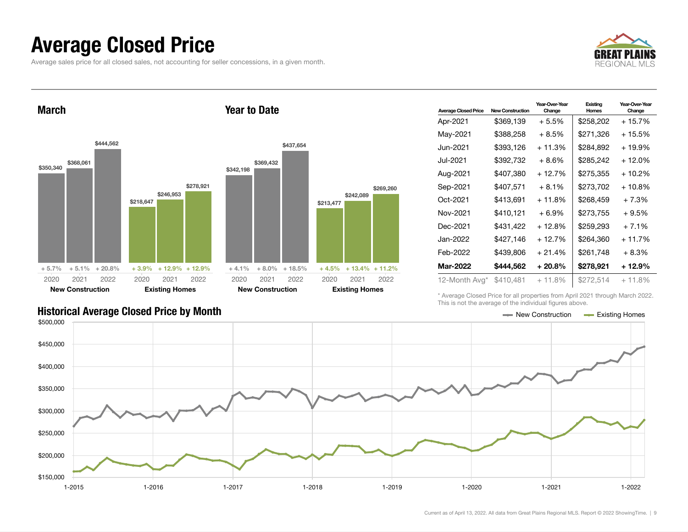#### Average Closed Price

Average sales price for all closed sales, not accounting for seller concessions, in a given month.



March \$350,340 \$368,061 \$444,562  $+5.7\%$   $+5.1\%$   $+20.8\%$ \$218,647 \$246,953 \$278,921 + 3.9% + 12.9% + 12.9% 2020 New Construction 2021 2022 2020 Existing Homes 2021 2022 Year to Date \$342,198 \$369,432 \$437,654  $+4.1\%$   $+8.0\%$   $+18.5\%$ \$213,477 + 4.5% + 13.4% + 11.2% 2020 New Construction 2021 2022 2020 Existing Homes

| <b>Average Closed Price</b> | <b>New Construction</b> | Year-Over-Year<br>Change | Existing<br>Homes | Year-Over-Year<br>Change |
|-----------------------------|-------------------------|--------------------------|-------------------|--------------------------|
| Apr-2021                    | \$369,139               | $+5.5\%$                 | \$258,202         | $+15.7%$                 |
| May-2021                    | \$388,258               | $+8.5%$                  | \$271,326         | $+15.5%$                 |
| Jun-2021                    | \$393,126               | $+11.3%$                 | \$284.892         | $+19.9%$                 |
| Jul-2021                    | \$392,732               | $+8.6\%$                 | \$285,242         | $+12.0%$                 |
| Aug-2021                    | \$407,380               | $+12.7%$                 | \$275,355         | $+10.2%$                 |
| Sep-2021                    | \$407,571               | $+8.1%$                  | \$273,702         | $+10.8%$                 |
| Oct-2021                    | \$413.691               | $+11.8%$                 | \$268,459         | $+7.3%$                  |
| Nov-2021                    | \$410,121               | $+6.9\%$                 | \$273,755         | $+9.5%$                  |
| Dec-2021                    | \$431,422               | $+12.8%$                 | \$259,293         | $+7.1%$                  |
| Jan-2022.                   | \$427,146               | + 12.7%                  | \$264,360         | $+11.7%$                 |
| Feb-2022                    | \$439,806               | $+21.4%$                 | \$261,748         | $+8.3%$                  |
| Mar-2022                    | \$444,562               | $+20.8\%$                | \$278,921         | + 12.9%                  |
| 12-Month Avg*               | \$410,481               | $+11.8%$                 | \$272,514         | $+11.8%$                 |

\* Average Closed Price for all properties from April 2021 through March 2022. This is not the average of the individual figures above.



\$242,089

2021 2022

\$269,260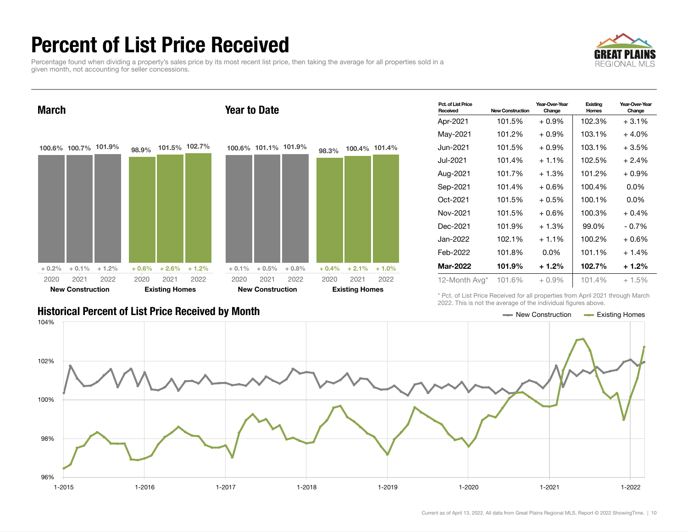## Percent of List Price Received

Percentage found when dividing a property's sales price by its most recent list price, then taking the average for all properties sold in a given month, not accounting for seller concessions.





| Pct. of List Price<br>Received | <b>New Construction</b> | Year-Over-Year<br>Change | Existing<br>Homes | Year-Over-Year<br>Change |
|--------------------------------|-------------------------|--------------------------|-------------------|--------------------------|
| Apr-2021                       | 101.5%                  | $+0.9\%$                 | 102.3%            | $+3.1\%$                 |
| May-2021                       | 101.2%                  | $+0.9\%$                 | 103.1%            | $+4.0\%$                 |
| Jun-2021.                      | 101.5%                  | $+0.9\%$                 | 103.1%            | $+3.5%$                  |
| Jul-2021.                      | 101.4%                  | $+1.1\%$                 | 102.5%            | $+2.4%$                  |
| Aug-2021                       | 101.7%                  | $+1.3%$                  | 101.2%            | + 0.9%                   |
| Sep-2021                       | 101.4%                  | $+0.6\%$                 | 100.4%            | $0.0\%$                  |
| Oct-2021                       | 101.5%                  | $+0.5\%$                 | 100.1%            | $0.0\%$                  |
| Nov-2021                       | 101.5%                  | $+0.6%$                  | 100.3%            | $+0.4%$                  |
| Dec-2021                       | 101.9%                  | $+1.3%$                  | 99.0%             | $-0.7\%$                 |
| Jan-2022                       | 102.1%                  | $+1.1%$                  | 100.2%            | + 0.6%                   |
| Feb-2022                       | 101.8%                  | $0.0\%$                  | 101.1%            | $+1.4%$                  |
| Mar-2022                       | 101.9%                  | $+1.2%$                  | 102.7%            | + 1.2%                   |
| 12-Month Avg*                  | 101.6%                  | $+0.9\%$                 | 101.4%            | $+1.5%$                  |

Historical Percent of List Price Received by Month New Construction According Homes

\* Pct. of List Price Received for all properties from April 2021 through March 2022. This is not the average of the individual figures above.

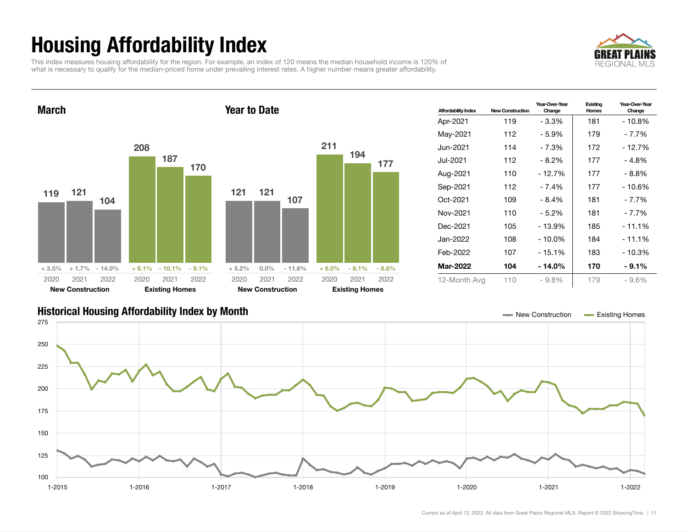## Housing Affordability Index

This index measures housing affordability for the region. For example, an index of 120 means the median household income is 120% of what is necessary to qualify for the median-priced home under prevailing interest rates. A higher number means greater affordability.





| <b>Affordability Index</b> | <b>New Construction</b> | Year-Over-Year<br>Change | Existing<br>Homes | Year-Over-Year<br>Change |
|----------------------------|-------------------------|--------------------------|-------------------|--------------------------|
| Apr-2021                   | 119                     | - 3.3%                   | 181               | $-10.8%$                 |
| May-2021                   | 112                     | - 5.9%                   | 179               | - 7.7%                   |
| Jun-2021                   | 114                     | - 7.3%                   | 172               | - 12.7%                  |
| Jul-2021.                  | 112                     | - 8.2%                   | 177               | - 4.8%                   |
| Aug-2021                   | 110                     | $-12.7%$                 | 177               | - 8.8%                   |
| Sep-2021                   | 112                     | - 7.4%                   | 177               | $-10.6%$                 |
| Oct-2021                   | 109                     | - 8.4%                   | 181               | - 7.7%                   |
| Nov-2021                   | 110                     | - 5.2%                   | 181               | - 7.7%                   |
| Dec-2021                   | 105                     | - 13.9%                  | 185               | - 11.1%                  |
| Jan-2022                   | 108                     | $-10.0\%$                | 184               | $-11.1%$                 |
| Feb-2022                   | 107                     | $-15.1%$                 | 183               | $-10.3%$                 |
| Mar-2022                   | 104                     | - 14.0%                  | 170               | $-9.1\%$                 |
| 12-Month Avg               | 110                     | $-9.8%$                  | 179               | $-9.6%$                  |

#### Historical Housing Affordability Index by Month New Construction Existing Homes

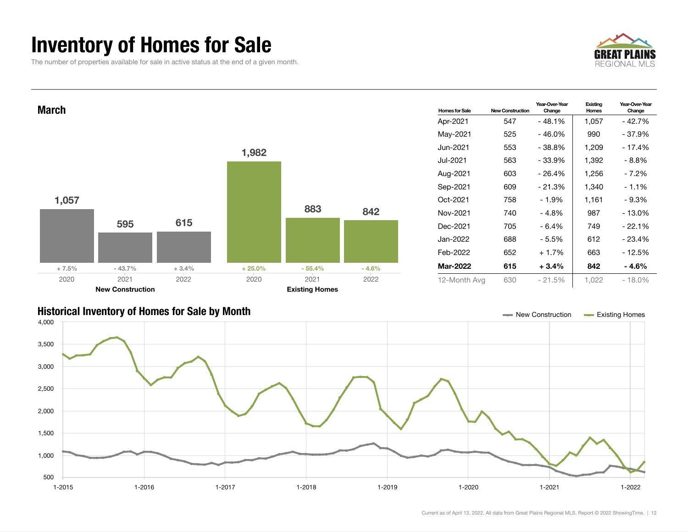### Inventory of Homes for Sale

The number of properties available for sale in active status at the end of a given month.





#### Historical Inventory of Homes for Sale by Month New Construction Existing Homes

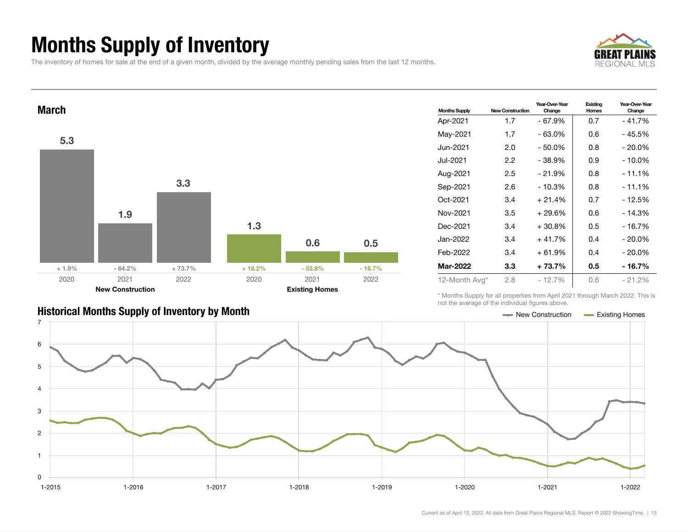## Months Supply of Inventory

The inventory of homes for sale at the end of a given month, divided by the average monthly pending sales from the last 12 months.





| <b>Months Supply</b> | <b>New Construction</b> | Year-Over-Year<br>Change | Existing<br>Homes | Year-Over-Year<br>Change |
|----------------------|-------------------------|--------------------------|-------------------|--------------------------|
| Apr-2021             | 1.7                     | $-67.9%$                 | 0.7               | $-41.7%$                 |
| May-2021             | 1.7                     | - 63.0%                  | 0.6               | - 45.5%                  |
| Jun-2021.            | 2.0                     | $-50.0%$                 | 0.8               | $-20.0\%$                |
| Jul-2021.            | 2.2                     | $-38.9%$                 | 0.9               | - 10.0%                  |
| Aug-2021             | 2.5                     | $-21.9%$                 | 0.8               | $-11.1%$                 |
| Sep-2021             | 2.6                     | $-10.3%$                 | 0.8               | $-11.1%$                 |
| Oct-2021             | 3.4                     | $+21.4%$                 | 0.7               | - 12.5%                  |
| Nov-2021             | 3.5                     | + 29.6%                  | 0.6               | $-14.3%$                 |
| Dec-2021             | 3.4                     | $+30.8\%$                | 0.5               | - 16.7%                  |
| Jan-2022             | 3.4                     | $+41.7%$                 | 0.4               | $-20.0\%$                |
| Feb-2022             | 3.4                     | $+61.9%$                 | 0.4               | $-20.0\%$                |
| Mar-2022             | $3.3\phantom{0}$        | + 73.7%                  | 0.5               | - 16.7%                  |
| 12-Month Avg*        | 2.8                     | $-12.7%$                 | 0.6               | $-21.2%$                 |

\* Months Supply for all properties from April 2021 through March 2022. This is not the average of the individual figures above.